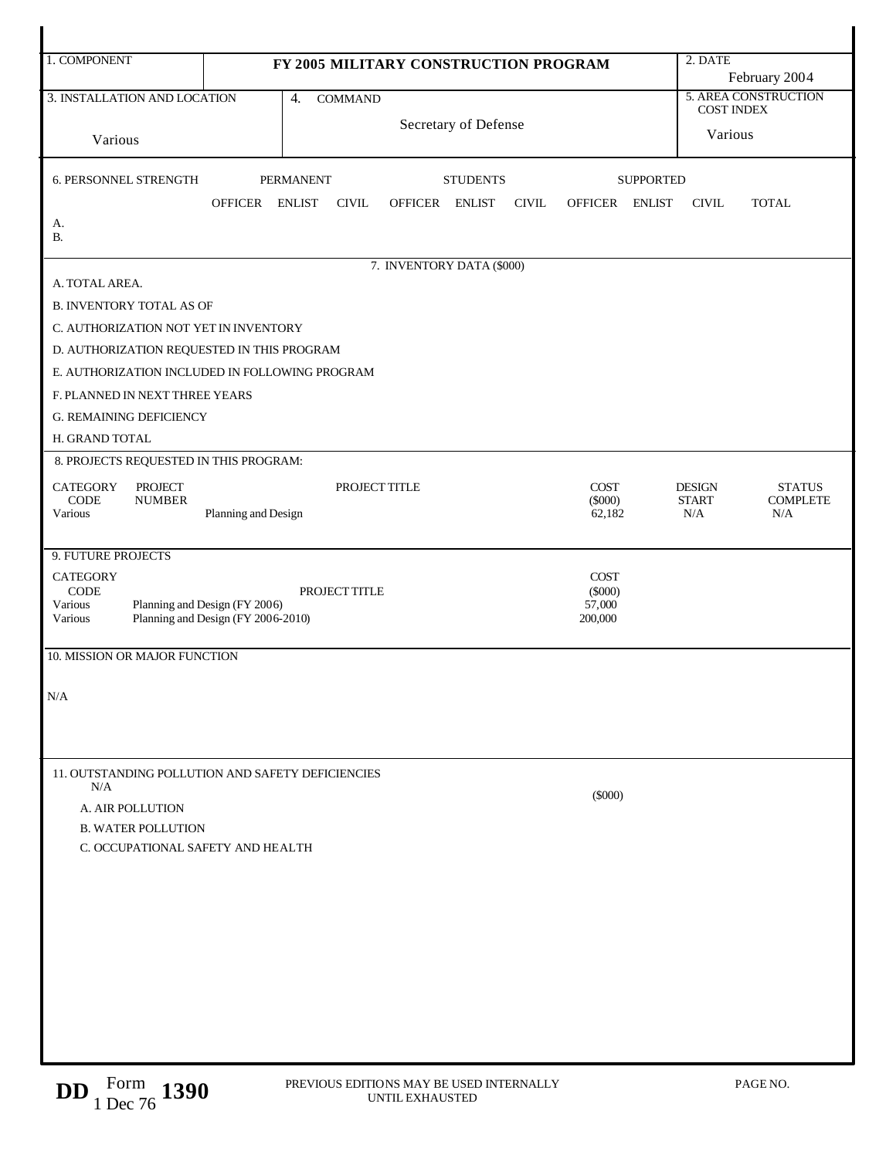| 1. COMPONENT                                                     | FY 2005 MILITARY CONSTRUCTION PROGRAM                                                                                              |                     |                                     |                      |                           |  |              |                     |                  | 2. DATE<br>February 2004     |                        |  |
|------------------------------------------------------------------|------------------------------------------------------------------------------------------------------------------------------------|---------------------|-------------------------------------|----------------------|---------------------------|--|--------------|---------------------|------------------|------------------------------|------------------------|--|
|                                                                  | 3. INSTALLATION AND LOCATION<br>4.<br><b>COMMAND</b>                                                                               |                     |                                     |                      |                           |  |              |                     |                  | 5. AREA CONSTRUCTION         |                        |  |
|                                                                  |                                                                                                                                    |                     |                                     | Secretary of Defense |                           |  |              |                     |                  | <b>COST INDEX</b><br>Various |                        |  |
| Various                                                          |                                                                                                                                    |                     |                                     |                      |                           |  |              |                     |                  |                              |                        |  |
| <b>6. PERSONNEL STRENGTH</b>                                     |                                                                                                                                    |                     | <b>PERMANENT</b><br><b>STUDENTS</b> |                      |                           |  |              |                     | <b>SUPPORTED</b> |                              |                        |  |
|                                                                  |                                                                                                                                    | OFFICER ENLIST      |                                     | <b>CIVIL</b>         | OFFICER ENLIST            |  | <b>CIVIL</b> | OFFICER ENLIST      |                  | <b>CIVIL</b>                 | <b>TOTAL</b>           |  |
| А.<br><b>B.</b>                                                  |                                                                                                                                    |                     |                                     |                      |                           |  |              |                     |                  |                              |                        |  |
|                                                                  |                                                                                                                                    |                     |                                     |                      | 7. INVENTORY DATA (\$000) |  |              |                     |                  |                              |                        |  |
| A. TOTAL AREA.                                                   |                                                                                                                                    |                     |                                     |                      |                           |  |              |                     |                  |                              |                        |  |
| <b>B. INVENTORY TOTAL AS OF</b>                                  |                                                                                                                                    |                     |                                     |                      |                           |  |              |                     |                  |                              |                        |  |
| C. AUTHORIZATION NOT YET IN INVENTORY                            |                                                                                                                                    |                     |                                     |                      |                           |  |              |                     |                  |                              |                        |  |
| D. AUTHORIZATION REQUESTED IN THIS PROGRAM                       |                                                                                                                                    |                     |                                     |                      |                           |  |              |                     |                  |                              |                        |  |
| E. AUTHORIZATION INCLUDED IN FOLLOWING PROGRAM                   |                                                                                                                                    |                     |                                     |                      |                           |  |              |                     |                  |                              |                        |  |
| F. PLANNED IN NEXT THREE YEARS<br><b>G. REMAINING DEFICIENCY</b> |                                                                                                                                    |                     |                                     |                      |                           |  |              |                     |                  |                              |                        |  |
| H. GRAND TOTAL                                                   |                                                                                                                                    |                     |                                     |                      |                           |  |              |                     |                  |                              |                        |  |
| 8. PROJECTS REQUESTED IN THIS PROGRAM:                           |                                                                                                                                    |                     |                                     |                      |                           |  |              |                     |                  |                              |                        |  |
| <b>CATEGORY</b>                                                  | <b>PROJECT</b>                                                                                                                     |                     |                                     | PROJECT TITLE        |                           |  |              | COST                |                  | <b>DESIGN</b>                | <b>STATUS</b>          |  |
| <b>CODE</b><br>Various                                           | <b>NUMBER</b>                                                                                                                      | Planning and Design |                                     |                      |                           |  |              | $(\$000)$<br>62,182 |                  | <b>START</b><br>N/A          | <b>COMPLETE</b><br>N/A |  |
|                                                                  |                                                                                                                                    |                     |                                     |                      |                           |  |              |                     |                  |                              |                        |  |
| 9. FUTURE PROJECTS                                               |                                                                                                                                    |                     |                                     |                      |                           |  |              |                     |                  |                              |                        |  |
| <b>CATEGORY</b>                                                  | <b>COST</b><br>CODE<br>$(\$000)$<br>PROJECT TITLE<br>Planning and Design (FY 2006)<br>57,000<br>Planning and Design (FY 2006-2010) |                     |                                     |                      |                           |  |              |                     |                  |                              |                        |  |
| Various                                                          |                                                                                                                                    |                     |                                     |                      |                           |  |              |                     |                  |                              |                        |  |
| Various                                                          |                                                                                                                                    |                     |                                     |                      |                           |  |              | 200,000             |                  |                              |                        |  |
| 10. MISSION OR MAJOR FUNCTION                                    |                                                                                                                                    |                     |                                     |                      |                           |  |              |                     |                  |                              |                        |  |
| N/A                                                              |                                                                                                                                    |                     |                                     |                      |                           |  |              |                     |                  |                              |                        |  |
|                                                                  |                                                                                                                                    |                     |                                     |                      |                           |  |              |                     |                  |                              |                        |  |
|                                                                  |                                                                                                                                    |                     |                                     |                      |                           |  |              |                     |                  |                              |                        |  |
| 11. OUTSTANDING POLLUTION AND SAFETY DEFICIENCIES                |                                                                                                                                    |                     |                                     |                      |                           |  |              |                     |                  |                              |                        |  |
| N/A                                                              |                                                                                                                                    |                     |                                     |                      |                           |  |              | $(\$000)$           |                  |                              |                        |  |
| A. AIR POLLUTION                                                 |                                                                                                                                    |                     |                                     |                      |                           |  |              |                     |                  |                              |                        |  |
| <b>B. WATER POLLUTION</b><br>C. OCCUPATIONAL SAFETY AND HEALTH   |                                                                                                                                    |                     |                                     |                      |                           |  |              |                     |                  |                              |                        |  |
|                                                                  |                                                                                                                                    |                     |                                     |                      |                           |  |              |                     |                  |                              |                        |  |
|                                                                  |                                                                                                                                    |                     |                                     |                      |                           |  |              |                     |                  |                              |                        |  |
|                                                                  |                                                                                                                                    |                     |                                     |                      |                           |  |              |                     |                  |                              |                        |  |
|                                                                  |                                                                                                                                    |                     |                                     |                      |                           |  |              |                     |                  |                              |                        |  |
|                                                                  |                                                                                                                                    |                     |                                     |                      |                           |  |              |                     |                  |                              |                        |  |
|                                                                  |                                                                                                                                    |                     |                                     |                      |                           |  |              |                     |                  |                              |                        |  |
|                                                                  |                                                                                                                                    |                     |                                     |                      |                           |  |              |                     |                  |                              |                        |  |
|                                                                  |                                                                                                                                    |                     |                                     |                      |                           |  |              |                     |                  |                              |                        |  |
|                                                                  |                                                                                                                                    |                     |                                     |                      |                           |  |              |                     |                  |                              |                        |  |